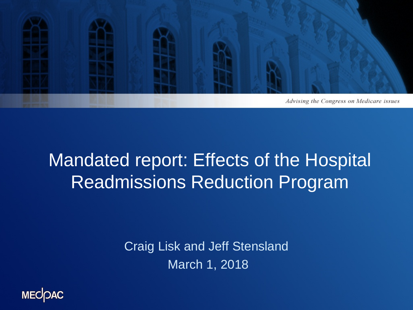

## Mandated report: Effects of the Hospital Readmissions Reduction Program

Craig Lisk and Jeff Stensland March 1, 2018

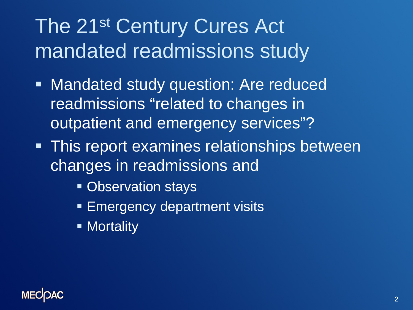# The 21<sup>st</sup> Century Cures Act mandated readmissions study

- **Mandated study question: Are reduced** readmissions "related to changes in outpatient and emergency services"?
- **This report examines relationships between** changes in readmissions and
	- **Observation stays**
	- **Emergency department visits**
	- **Nortality**

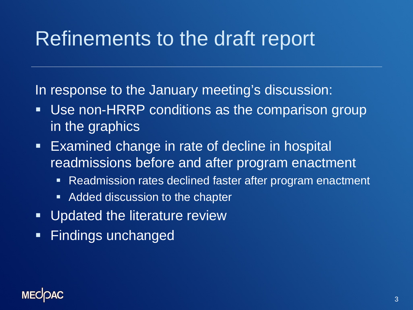# Refinements to the draft report

In response to the January meeting's discussion:

- Use non-HRRP conditions as the comparison group in the graphics
- **Examined change in rate of decline in hospital** readmissions before and after program enactment
	- **Readmission rates declined faster after program enactment**
	- **Added discussion to the chapter**
- **Updated the literature review**
- **Findings unchanged**

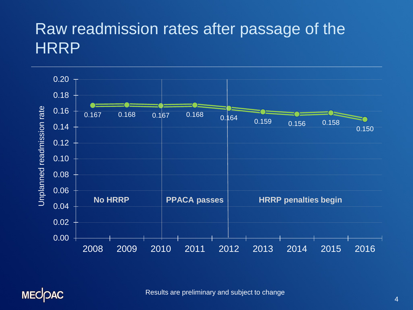#### Raw readmission rates after passage of the **HRRP**





Results are preliminary and subject to change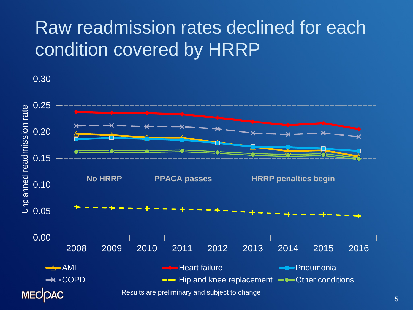## Raw readmission rates declined for each condition covered by HRRP

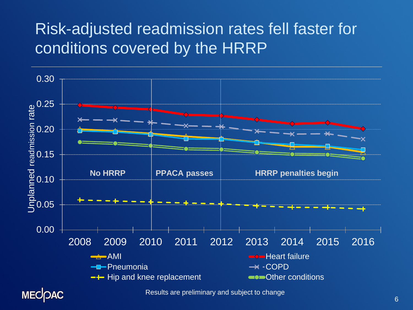### Risk-adjusted readmission rates fell faster for conditions covered by the HRRP

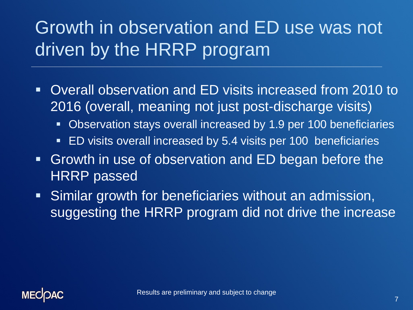## Growth in observation and ED use was not driven by the HRRP program

- Overall observation and ED visits increased from 2010 to 2016 (overall, meaning not just post-discharge visits)
	- Observation stays overall increased by 1.9 per 100 beneficiaries
	- **ED visits overall increased by 5.4 visits per 100 beneficiaries**
- Growth in use of observation and ED began before the HRRP passed
- **Similar growth for beneficiaries without an admission,** suggesting the HRRP program did not drive the increase

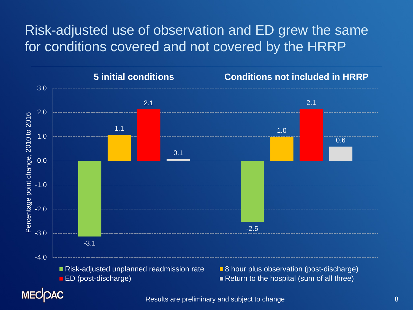#### Risk-adjusted use of observation and ED grew the same for conditions covered and not covered by the HRRP



Results are preliminary and subject to change 8 and 8 and 8 and 8 and 8 and 8 and 8 and 8 and 8 and 8 and 8 and 8 and 8 and 8 and 8 and 8 and 8 and 8 and 8 and 8 and 8 and 8 and 8 and 8 and 8 and 8 and 8 and 8 and 8 and 8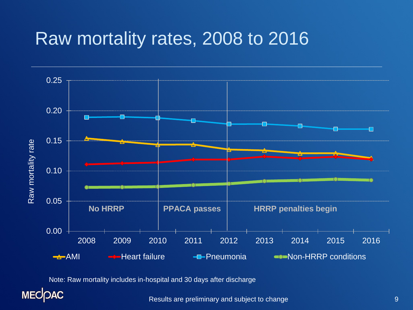## Raw mortality rates, 2008 to 2016



Note: Raw mortality includes in-hospital and 30 days after discharge

**MECOAC** 

Results are preliminary and subject to change 9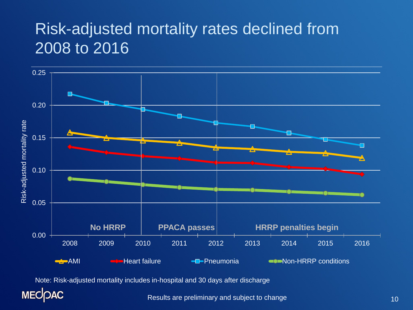#### Risk-adjusted mortality rates declined from 2008 to 2016



Note: Risk-adjusted mortality includes in-hospital and 30 days after discharge

**MECOAC** 

Results are preliminary and subject to change 10 and 10 and 10 and 10 and 10 and 10 and 10 and 10 and 10 and 10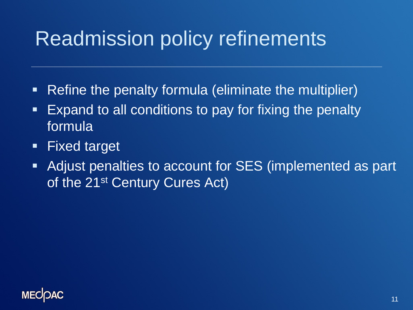# Readmission policy refinements

- Refine the penalty formula (eliminate the multiplier)
- **Expand to all conditions to pay for fixing the penalty** formula
- **Fixed target**
- **Adjust penalties to account for SES (implemented as part** of the 21<sup>st</sup> Century Cures Act)